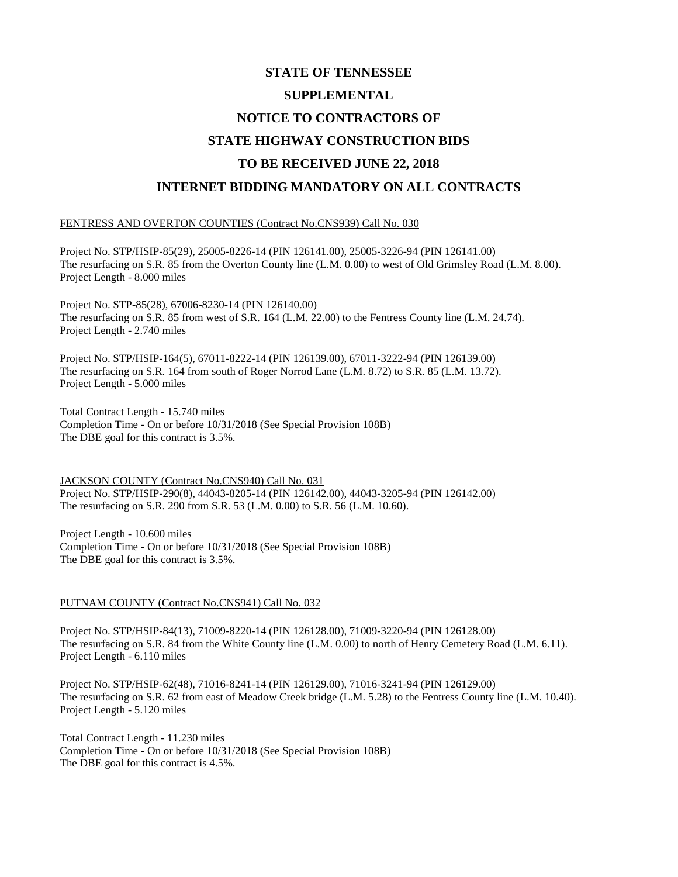# **STATE OF TENNESSEE SUPPLEMENTAL NOTICE TO CONTRACTORS OF STATE HIGHWAY CONSTRUCTION BIDS TO BE RECEIVED JUNE 22, 2018 INTERNET BIDDING MANDATORY ON ALL CONTRACTS**

#### FENTRESS AND OVERTON COUNTIES (Contract No.CNS939) Call No. 030

Project No. STP/HSIP-85(29), 25005-8226-14 (PIN 126141.00), 25005-3226-94 (PIN 126141.00) The resurfacing on S.R. 85 from the Overton County line (L.M. 0.00) to west of Old Grimsley Road (L.M. 8.00). Project Length - 8.000 miles

Project No. STP-85(28), 67006-8230-14 (PIN 126140.00) The resurfacing on S.R. 85 from west of S.R. 164 (L.M. 22.00) to the Fentress County line (L.M. 24.74). Project Length - 2.740 miles

Project No. STP/HSIP-164(5), 67011-8222-14 (PIN 126139.00), 67011-3222-94 (PIN 126139.00) The resurfacing on S.R. 164 from south of Roger Norrod Lane (L.M. 8.72) to S.R. 85 (L.M. 13.72). Project Length - 5.000 miles

Total Contract Length - 15.740 miles Completion Time - On or before 10/31/2018 (See Special Provision 108B) The DBE goal for this contract is 3.5%.

JACKSON COUNTY (Contract No.CNS940) Call No. 031 Project No. STP/HSIP-290(8), 44043-8205-14 (PIN 126142.00), 44043-3205-94 (PIN 126142.00) The resurfacing on S.R. 290 from S.R. 53 (L.M. 0.00) to S.R. 56 (L.M. 10.60).

Project Length - 10.600 miles Completion Time - On or before 10/31/2018 (See Special Provision 108B) The DBE goal for this contract is 3.5%.

### PUTNAM COUNTY (Contract No.CNS941) Call No. 032

Project No. STP/HSIP-84(13), 71009-8220-14 (PIN 126128.00), 71009-3220-94 (PIN 126128.00) The resurfacing on S.R. 84 from the White County line (L.M. 0.00) to north of Henry Cemetery Road (L.M. 6.11). Project Length - 6.110 miles

Project No. STP/HSIP-62(48), 71016-8241-14 (PIN 126129.00), 71016-3241-94 (PIN 126129.00) The resurfacing on S.R. 62 from east of Meadow Creek bridge (L.M. 5.28) to the Fentress County line (L.M. 10.40). Project Length - 5.120 miles

Total Contract Length - 11.230 miles Completion Time - On or before 10/31/2018 (See Special Provision 108B) The DBE goal for this contract is 4.5%.